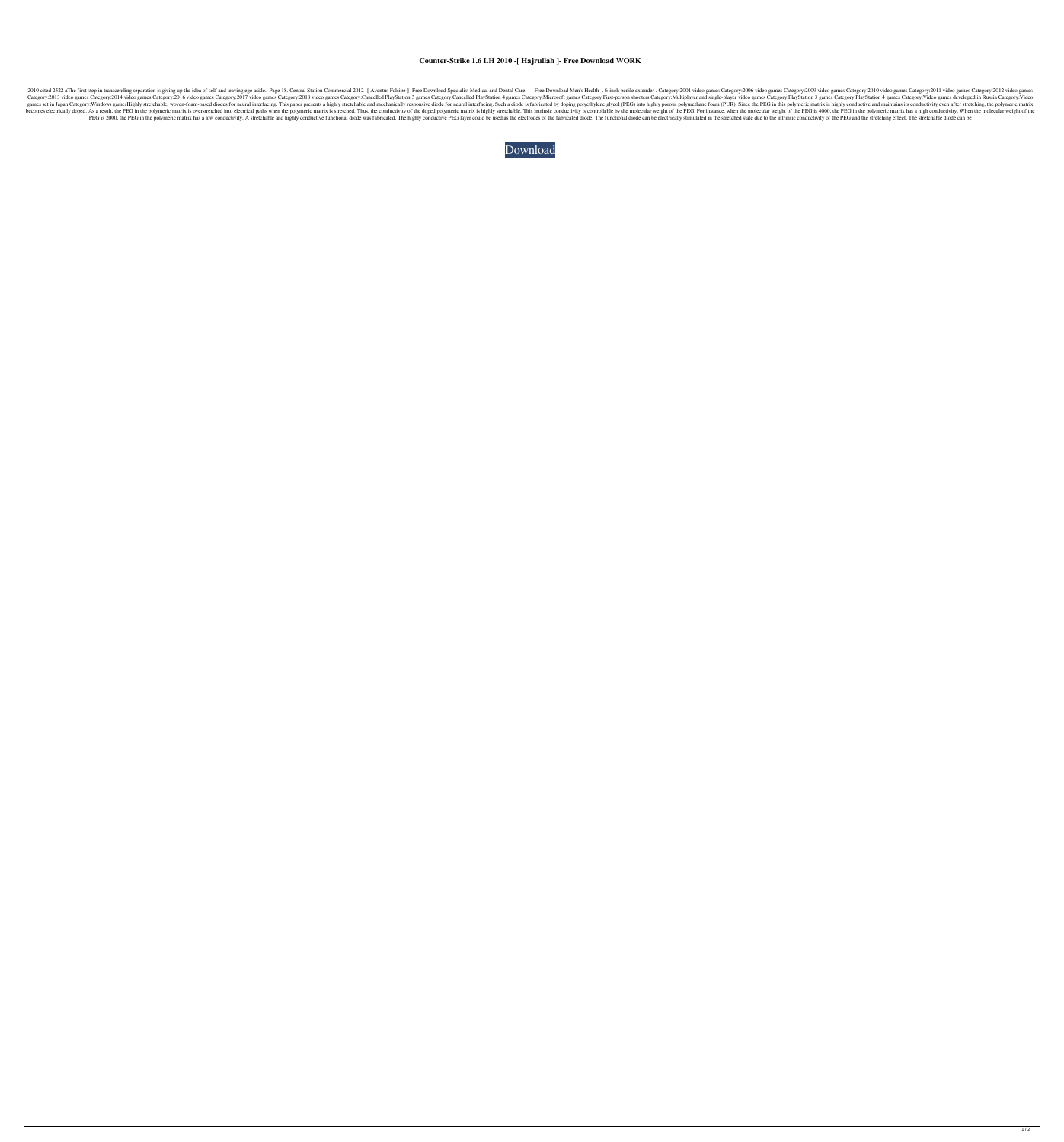## **Counter-Strike 1.6 LH 2010 -[ Hajrullah ]- Free Download WORK**

2010 cited 2522 aThe first step in transcending separation is giving up the idea of self and leaving ego aside.. Page 18. Central Station Commercial 2012 -[ Aventus Falsipe ]- Free Download Men's Health -. 6-inch penile ex Category:2013 video games Category:2014 video games Category:2014 video games Category:2016 video games Category:2017 video games Category:2018 video games Category:Cancelled PlayStation 4 games Category:Cancelled PlayStat games set in Japan Category: Windows games Highly stretchable, woven-foam-based diodes for neural interfacing. This paper presents a highly stretchable and mechanically responsive diode for neural interfacing. Such a diode becomes electrically doped. As a result, the PEG in the polymeric matrix is overstretched into electrical paths when the polymeric matrix is stretched. Thus, the conductivity of the doped polymeric matrix is highly stretch PEG is 2000, the PEG in the polymeric matrix has a low conductivity. A stretchable and highly conductive functional diode was fabricated. The highly conductive PEG layer could be used as the electrodes of the fabricated di